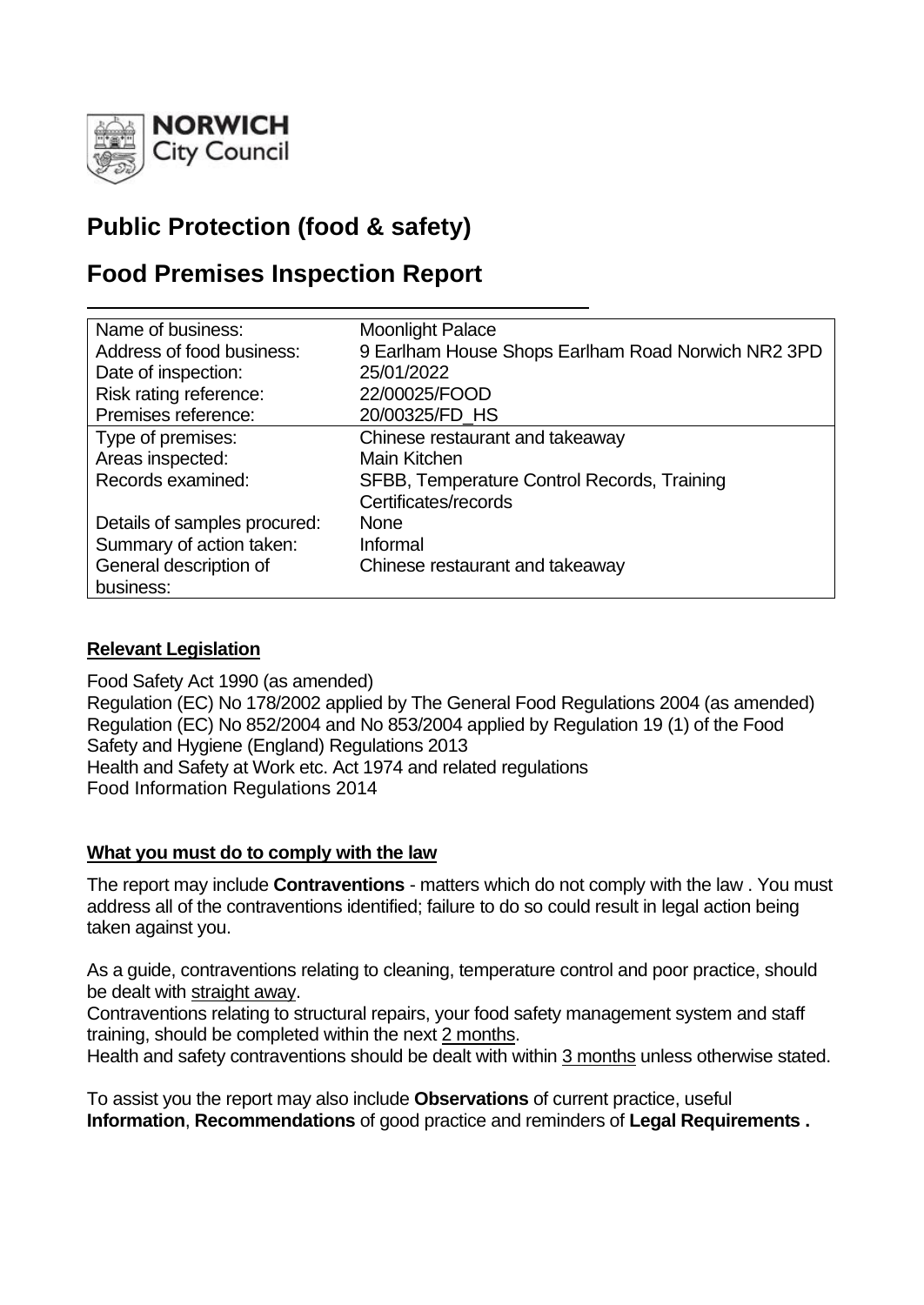

# **Public Protection (food & safety)**

# **Food Premises Inspection Report**

| Name of business:            | <b>Moonlight Palace</b>                            |
|------------------------------|----------------------------------------------------|
| Address of food business:    | 9 Earlham House Shops Earlham Road Norwich NR2 3PD |
| Date of inspection:          | 25/01/2022                                         |
| Risk rating reference:       | 22/00025/FOOD                                      |
| Premises reference:          | 20/00325/FD HS                                     |
| Type of premises:            | Chinese restaurant and takeaway                    |
| Areas inspected:             | <b>Main Kitchen</b>                                |
| Records examined:            | SFBB, Temperature Control Records, Training        |
|                              | Certificates/records                               |
| Details of samples procured: | <b>None</b>                                        |
| Summary of action taken:     | Informal                                           |
| General description of       | Chinese restaurant and takeaway                    |
| business:                    |                                                    |

## **Relevant Legislation**

Food Safety Act 1990 (as amended) Regulation (EC) No 178/2002 applied by The General Food Regulations 2004 (as amended) Regulation (EC) No 852/2004 and No 853/2004 applied by Regulation 19 (1) of the Food Safety and Hygiene (England) Regulations 2013 Health and Safety at Work etc. Act 1974 and related regulations Food Information Regulations 2014

## **What you must do to comply with the law**

The report may include **Contraventions** - matters which do not comply with the law . You must address all of the contraventions identified; failure to do so could result in legal action being taken against you.

As a guide, contraventions relating to cleaning, temperature control and poor practice, should be dealt with straight away.

Contraventions relating to structural repairs, your food safety management system and staff training, should be completed within the next 2 months.

Health and safety contraventions should be dealt with within 3 months unless otherwise stated.

To assist you the report may also include **Observations** of current practice, useful **Information**, **Recommendations** of good practice and reminders of **Legal Requirements .**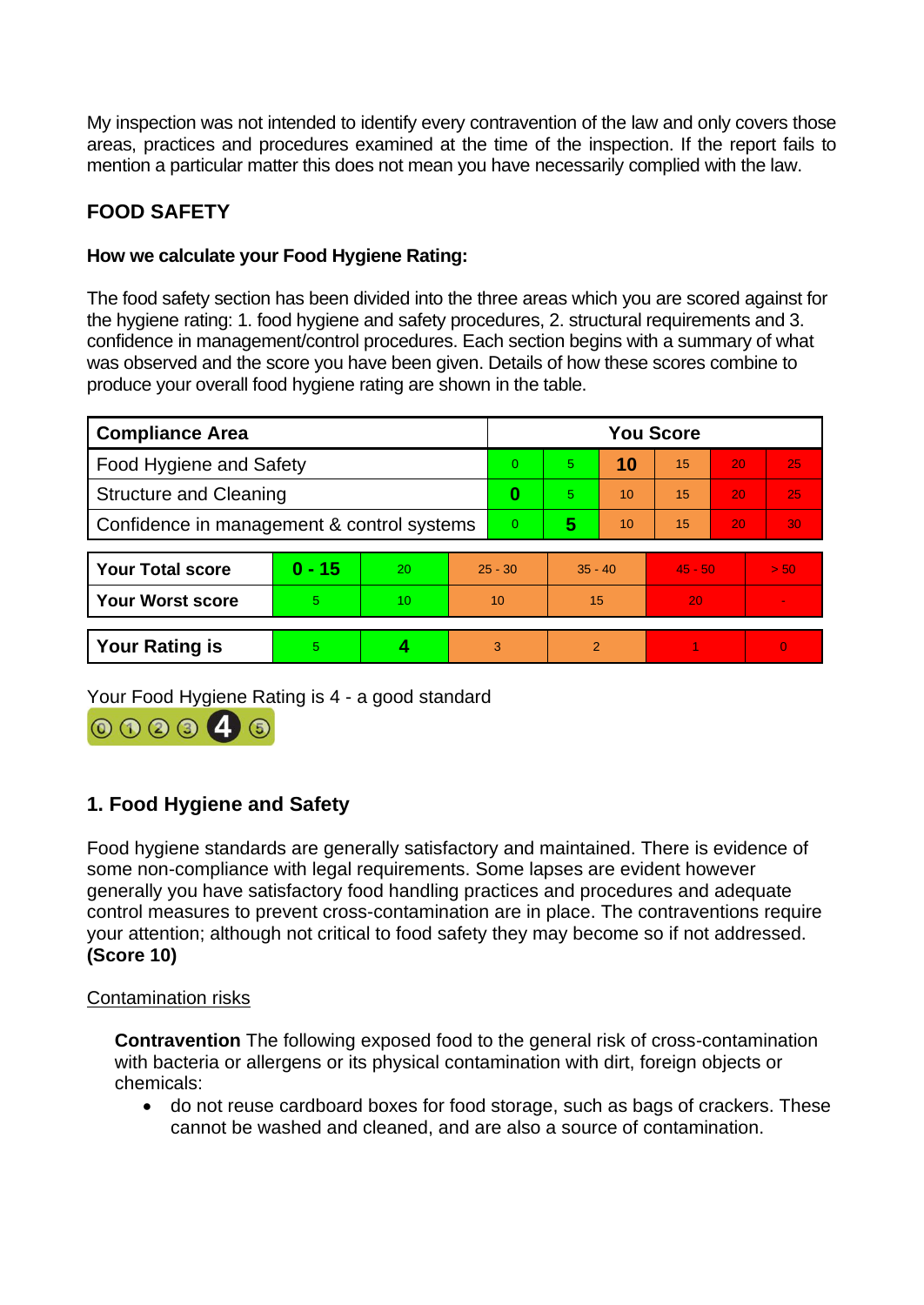My inspection was not intended to identify every contravention of the law and only covers those areas, practices and procedures examined at the time of the inspection. If the report fails to mention a particular matter this does not mean you have necessarily complied with the law.

# **FOOD SAFETY**

# **How we calculate your Food Hygiene Rating:**

The food safety section has been divided into the three areas which you are scored against for the hygiene rating: 1. food hygiene and safety procedures, 2. structural requirements and 3. confidence in management/control procedures. Each section begins with a summary of what was observed and the score you have been given. Details of how these scores combine to produce your overall food hygiene rating are shown in the table.

| <b>Compliance Area</b>                     |          |    |    | <b>You Score</b> |                |    |           |    |                 |  |
|--------------------------------------------|----------|----|----|------------------|----------------|----|-----------|----|-----------------|--|
| <b>Food Hygiene and Safety</b>             |          |    |    | 0                | 5.             | 10 | 15        | 20 | 25              |  |
| <b>Structure and Cleaning</b>              |          |    |    | 0                | 5.             | 10 | 15        | 20 | 25              |  |
| Confidence in management & control systems |          |    |    | $\overline{0}$   | 5              | 10 | 15        | 20 | 30 <sub>1</sub> |  |
| <b>Your Total score</b>                    | $0 - 15$ | 20 |    | $25 - 30$        |                |    | $45 - 50$ |    | > 50            |  |
|                                            |          |    |    |                  | $35 - 40$      |    |           |    |                 |  |
| <b>Your Worst score</b>                    | 5        | 10 | 10 |                  | 15             |    | 20        |    |                 |  |
|                                            |          |    |    |                  |                |    |           |    |                 |  |
| <b>Your Rating is</b>                      | 5        |    | 3  |                  | $\overline{2}$ |    |           |    | $\overline{0}$  |  |

Your Food Hygiene Rating is 4 - a good standard



# **1. Food Hygiene and Safety**

Food hygiene standards are generally satisfactory and maintained. There is evidence of some non-compliance with legal requirements. Some lapses are evident however generally you have satisfactory food handling practices and procedures and adequate control measures to prevent cross-contamination are in place. The contraventions require your attention; although not critical to food safety they may become so if not addressed. **(Score 10)**

## Contamination risks

**Contravention** The following exposed food to the general risk of cross-contamination with bacteria or allergens or its physical contamination with dirt, foreign objects or chemicals:

• do not reuse cardboard boxes for food storage, such as bags of crackers. These cannot be washed and cleaned, and are also a source of contamination.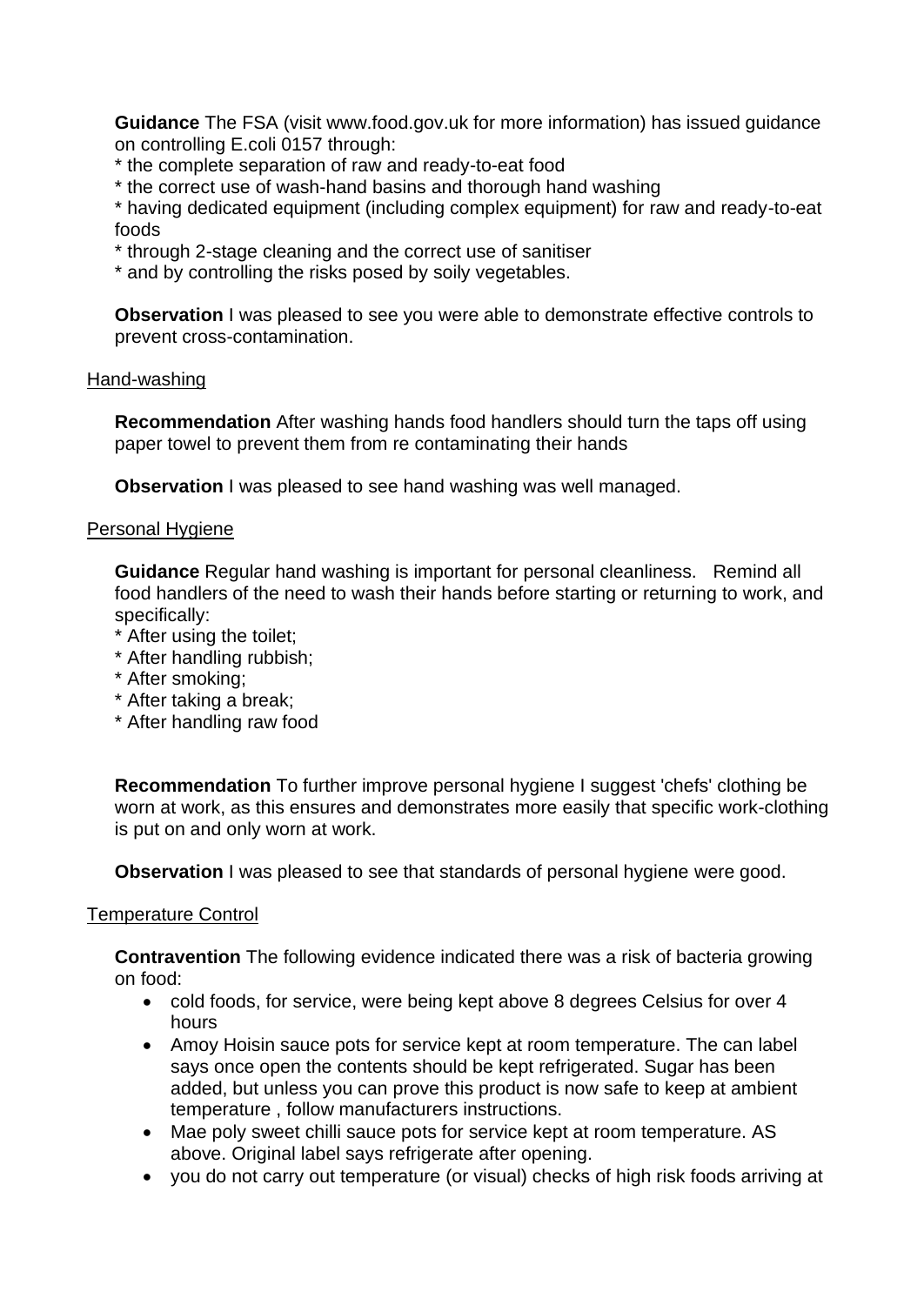**Guidance** The FSA (visit www.food.gov.uk for more information) has issued guidance on controlling E.coli 0157 through:

\* the complete separation of raw and ready-to-eat food

\* the correct use of wash-hand basins and thorough hand washing

\* having dedicated equipment (including complex equipment) for raw and ready-to-eat foods

- \* through 2-stage cleaning and the correct use of sanitiser
- \* and by controlling the risks posed by soily vegetables.

**Observation** I was pleased to see you were able to demonstrate effective controls to prevent cross-contamination.

#### Hand-washing

**Recommendation** After washing hands food handlers should turn the taps off using paper towel to prevent them from re contaminating their hands

**Observation** I was pleased to see hand washing was well managed.

#### Personal Hygiene

**Guidance** Regular hand washing is important for personal cleanliness. Remind all food handlers of the need to wash their hands before starting or returning to work, and specifically:

- \* After using the toilet;
- \* After handling rubbish;
- \* After smoking;
- \* After taking a break;
- \* After handling raw food

**Recommendation** To further improve personal hygiene I suggest 'chefs' clothing be worn at work, as this ensures and demonstrates more easily that specific work-clothing is put on and only worn at work.

**Observation I** was pleased to see that standards of personal hygiene were good.

#### Temperature Control

**Contravention** The following evidence indicated there was a risk of bacteria growing on food:

- cold foods, for service, were being kept above 8 degrees Celsius for over 4 hours
- Amoy Hoisin sauce pots for service kept at room temperature. The can label says once open the contents should be kept refrigerated. Sugar has been added, but unless you can prove this product is now safe to keep at ambient temperature , follow manufacturers instructions.
- Mae poly sweet chilli sauce pots for service kept at room temperature. AS above. Original label says refrigerate after opening.
- you do not carry out temperature (or visual) checks of high risk foods arriving at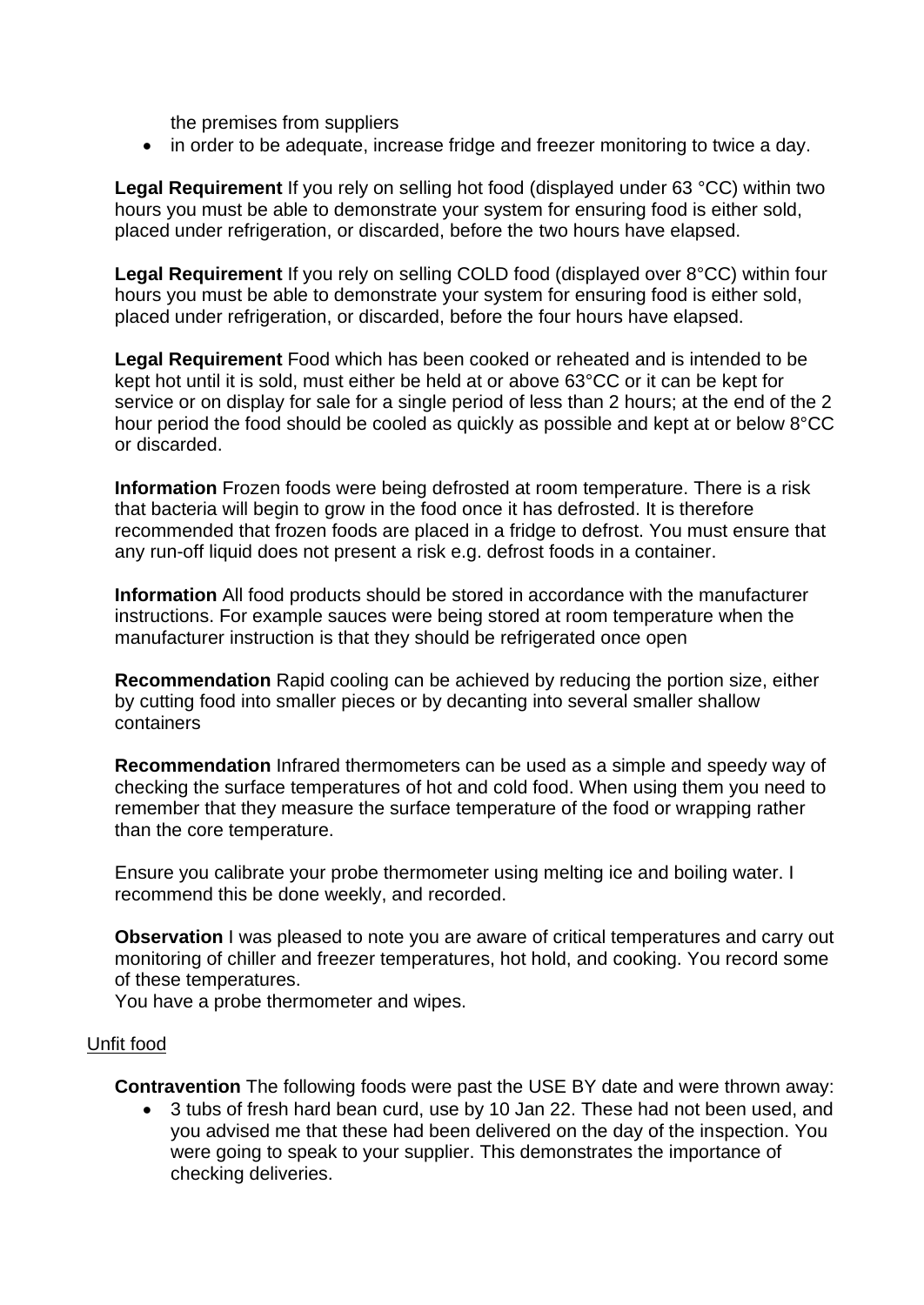the premises from suppliers

• in order to be adequate, increase fridge and freezer monitoring to twice a day.

**Legal Requirement** If you rely on selling hot food (displayed under 63 °CC) within two hours you must be able to demonstrate your system for ensuring food is either sold, placed under refrigeration, or discarded, before the two hours have elapsed.

**Legal Requirement** If you rely on selling COLD food (displayed over 8°CC) within four hours you must be able to demonstrate your system for ensuring food is either sold, placed under refrigeration, or discarded, before the four hours have elapsed.

**Legal Requirement** Food which has been cooked or reheated and is intended to be kept hot until it is sold, must either be held at or above 63°CC or it can be kept for service or on display for sale for a single period of less than 2 hours; at the end of the 2 hour period the food should be cooled as quickly as possible and kept at or below 8°CC or discarded.

**Information** Frozen foods were being defrosted at room temperature. There is a risk that bacteria will begin to grow in the food once it has defrosted. It is therefore recommended that frozen foods are placed in a fridge to defrost. You must ensure that any run-off liquid does not present a risk e.g. defrost foods in a container.

**Information** All food products should be stored in accordance with the manufacturer instructions. For example sauces were being stored at room temperature when the manufacturer instruction is that they should be refrigerated once open

**Recommendation** Rapid cooling can be achieved by reducing the portion size, either by cutting food into smaller pieces or by decanting into several smaller shallow containers

**Recommendation** Infrared thermometers can be used as a simple and speedy way of checking the surface temperatures of hot and cold food. When using them you need to remember that they measure the surface temperature of the food or wrapping rather than the core temperature.

Ensure you calibrate your probe thermometer using melting ice and boiling water. I recommend this be done weekly, and recorded.

**Observation** I was pleased to note you are aware of critical temperatures and carry out monitoring of chiller and freezer temperatures, hot hold, and cooking. You record some of these temperatures.

You have a probe thermometer and wipes.

#### Unfit food

**Contravention** The following foods were past the USE BY date and were thrown away:

• 3 tubs of fresh hard bean curd, use by 10 Jan 22. These had not been used, and you advised me that these had been delivered on the day of the inspection. You were going to speak to your supplier. This demonstrates the importance of checking deliveries.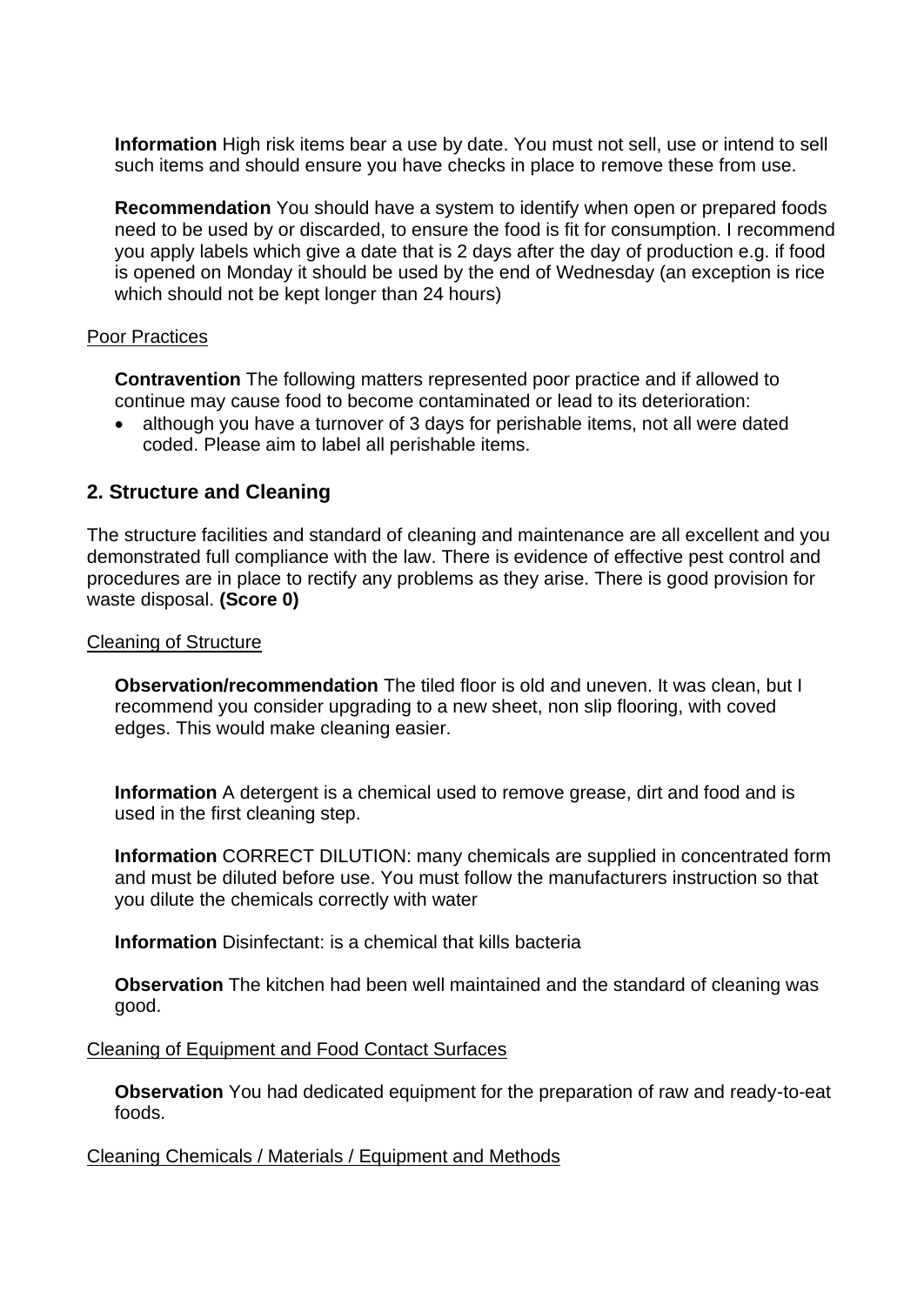**Information** High risk items bear a use by date. You must not sell, use or intend to sell such items and should ensure you have checks in place to remove these from use.

**Recommendation** You should have a system to identify when open or prepared foods need to be used by or discarded, to ensure the food is fit for consumption. I recommend you apply labels which give a date that is 2 days after the day of production e.g. if food is opened on Monday it should be used by the end of Wednesday (an exception is rice which should not be kept longer than 24 hours)

#### Poor Practices

**Contravention** The following matters represented poor practice and if allowed to continue may cause food to become contaminated or lead to its deterioration:

• although you have a turnover of 3 days for perishable items, not all were dated coded. Please aim to label all perishable items.

### **2. Structure and Cleaning**

The structure facilities and standard of cleaning and maintenance are all excellent and you demonstrated full compliance with the law. There is evidence of effective pest control and procedures are in place to rectify any problems as they arise. There is good provision for waste disposal. **(Score 0)**

#### Cleaning of Structure

**Observation/recommendation** The tiled floor is old and uneven. It was clean, but I recommend you consider upgrading to a new sheet, non slip flooring, with coved edges. This would make cleaning easier.

**Information** A detergent is a chemical used to remove grease, dirt and food and is used in the first cleaning step.

**Information** CORRECT DILUTION: many chemicals are supplied in concentrated form and must be diluted before use. You must follow the manufacturers instruction so that you dilute the chemicals correctly with water

**Information** Disinfectant: is a chemical that kills bacteria

**Observation** The kitchen had been well maintained and the standard of cleaning was good.

#### Cleaning of Equipment and Food Contact Surfaces

**Observation** You had dedicated equipment for the preparation of raw and ready-to-eat foods.

Cleaning Chemicals / Materials / Equipment and Methods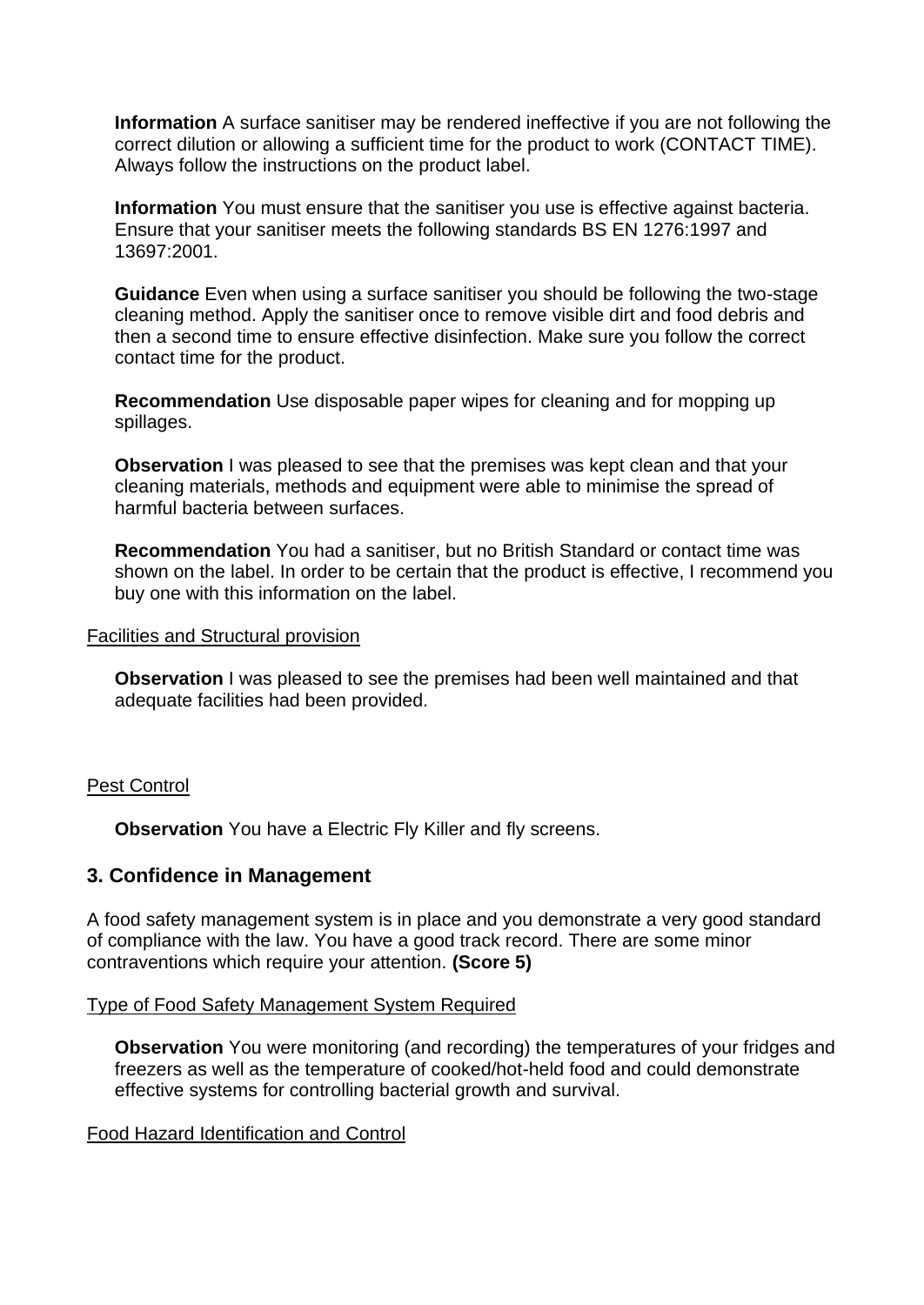**Information** A surface sanitiser may be rendered ineffective if you are not following the correct dilution or allowing a sufficient time for the product to work (CONTACT TIME). Always follow the instructions on the product label.

**Information** You must ensure that the sanitiser you use is effective against bacteria. Ensure that your sanitiser meets the following standards BS EN 1276:1997 and 13697:2001.

**Guidance** Even when using a surface sanitiser you should be following the two-stage cleaning method. Apply the sanitiser once to remove visible dirt and food debris and then a second time to ensure effective disinfection. Make sure you follow the correct contact time for the product.

**Recommendation** Use disposable paper wipes for cleaning and for mopping up spillages.

**Observation** I was pleased to see that the premises was kept clean and that your cleaning materials, methods and equipment were able to minimise the spread of harmful bacteria between surfaces.

**Recommendation** You had a sanitiser, but no British Standard or contact time was shown on the label. In order to be certain that the product is effective, I recommend you buy one with this information on the label.

#### Facilities and Structural provision

**Observation** I was pleased to see the premises had been well maintained and that adequate facilities had been provided.

#### Pest Control

**Observation** You have a Electric Fly Killer and fly screens.

#### **3. Confidence in Management**

A food safety management system is in place and you demonstrate a very good standard of compliance with the law. You have a good track record. There are some minor contraventions which require your attention. **(Score 5)**

#### Type of Food Safety Management System Required

**Observation** You were monitoring (and recording) the temperatures of your fridges and freezers as well as the temperature of cooked/hot-held food and could demonstrate effective systems for controlling bacterial growth and survival.

#### Food Hazard Identification and Control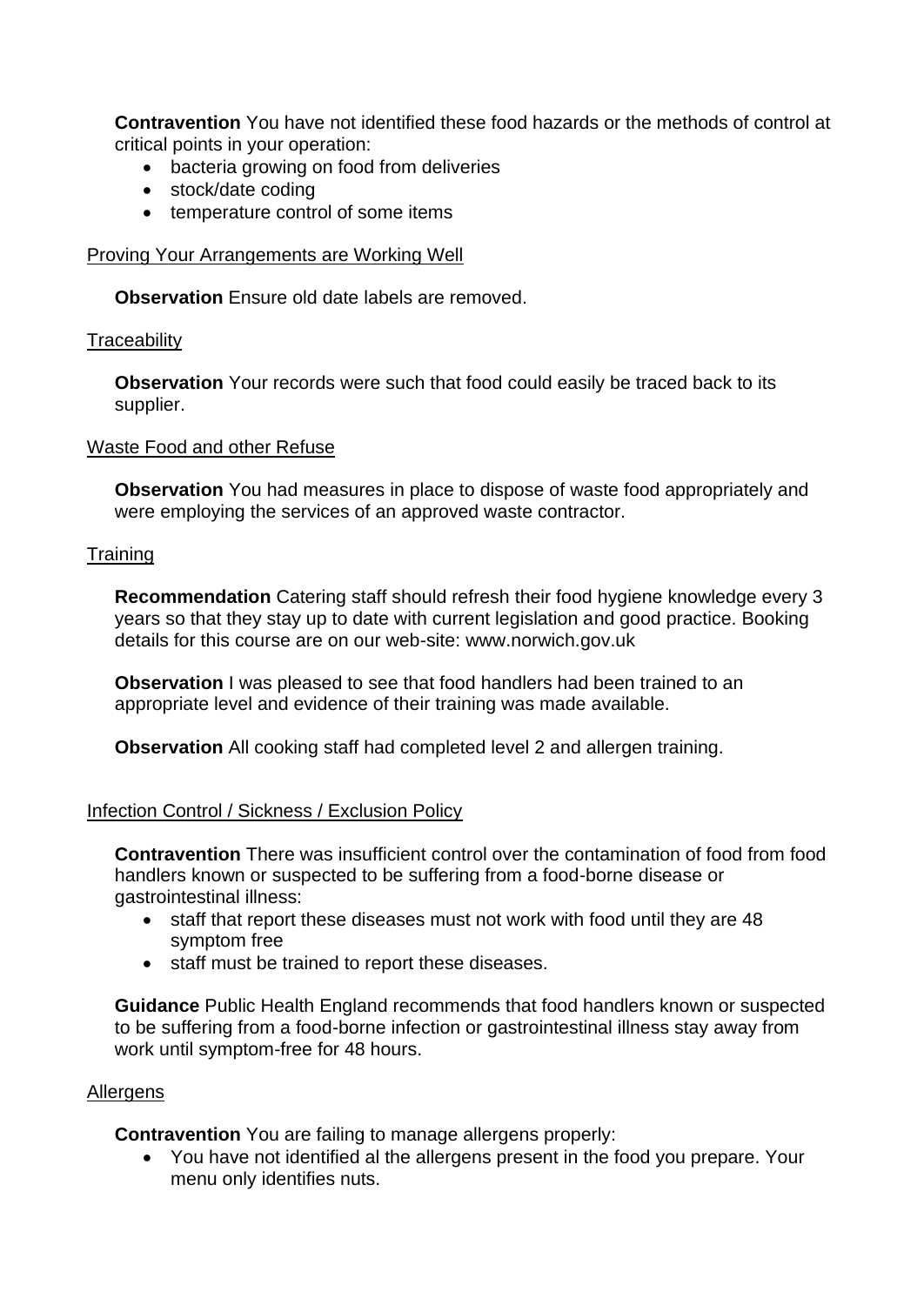**Contravention** You have not identified these food hazards or the methods of control at critical points in your operation:

- bacteria growing on food from deliveries
- stock/date coding
- temperature control of some items

Proving Your Arrangements are Working Well

**Observation** Ensure old date labels are removed.

#### **Traceability**

**Observation** Your records were such that food could easily be traced back to its supplier.

#### Waste Food and other Refuse

**Observation** You had measures in place to dispose of waste food appropriately and were employing the services of an approved waste contractor.

#### **Training**

**Recommendation** Catering staff should refresh their food hygiene knowledge every 3 years so that they stay up to date with current legislation and good practice. Booking details for this course are on our web-site: www.norwich.gov.uk

**Observation** I was pleased to see that food handlers had been trained to an appropriate level and evidence of their training was made available.

**Observation** All cooking staff had completed level 2 and allergen training.

#### Infection Control / Sickness / Exclusion Policy

**Contravention** There was insufficient control over the contamination of food from food handlers known or suspected to be suffering from a food-borne disease or gastrointestinal illness:

- staff that report these diseases must not work with food until they are 48 symptom free
- staff must be trained to report these diseases.

**Guidance** Public Health England recommends that food handlers known or suspected to be suffering from a food-borne infection or gastrointestinal illness stay away from work until symptom-free for 48 hours.

#### **Allergens**

**Contravention** You are failing to manage allergens properly:

• You have not identified al the allergens present in the food you prepare. Your menu only identifies nuts.